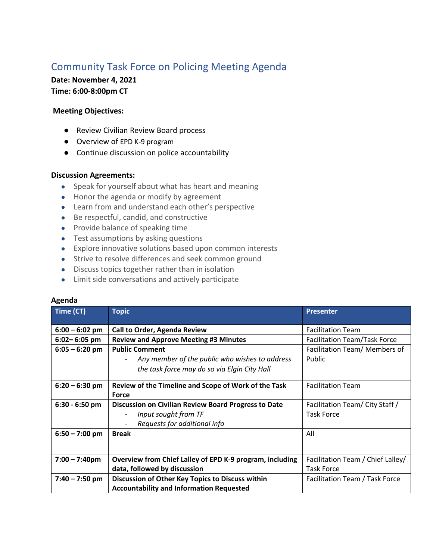## Community Task Force on Policing Meeting Agenda

**Date: November 4, 2021 Time: 6:00-8:00pm CT** 

## **Meeting Objectives:**

- Review Civilian Review Board process
- Overview of EPD K-9 program
- Continue discussion on police accountability

## **Discussion Agreements:**

- Speak for yourself about what has heart and meaning
- Honor the agenda or modify by agreement
- Learn from and understand each other's perspective
- Be respectful, candid, and constructive
- Provide balance of speaking time
- Test assumptions by asking questions
- Explore innovative solutions based upon common interests
- Strive to resolve differences and seek common ground
- Discuss topics together rather than in isolation
- Limit side conversations and actively participate

## **Agenda**

| Time (CT)        | <b>Topic</b>                                             | <b>Presenter</b>                  |
|------------------|----------------------------------------------------------|-----------------------------------|
| $6:00 - 6:02$ pm | Call to Order, Agenda Review                             | <b>Facilitation Team</b>          |
| $6:02 - 6:05$ pm | <b>Review and Approve Meeting #3 Minutes</b>             | Facilitation Team/Task Force      |
| $6:05 - 6:20$ pm | <b>Public Comment</b>                                    | Facilitation Team/ Members of     |
|                  | Any member of the public who wishes to address           | <b>Public</b>                     |
|                  | the task force may do so via Elgin City Hall             |                                   |
| $6:20 - 6:30$ pm | Review of the Timeline and Scope of Work of the Task     | <b>Facilitation Team</b>          |
|                  | <b>Force</b>                                             |                                   |
| $6:30 - 6:50$ pm | Discussion on Civilian Review Board Progress to Date     | Facilitation Team/ City Staff /   |
|                  | Input sought from TF                                     | <b>Task Force</b>                 |
|                  | Requests for additional info                             |                                   |
| $6:50 - 7:00$ pm | <b>Break</b>                                             | All                               |
|                  |                                                          |                                   |
| $7:00 - 7:40$ pm | Overview from Chief Lalley of EPD K-9 program, including | Facilitation Team / Chief Lalley/ |
|                  | data, followed by discussion                             | <b>Task Force</b>                 |
| $7:40 - 7:50$ pm | Discussion of Other Key Topics to Discuss within         | Facilitation Team / Task Force    |
|                  | <b>Accountability and Information Requested</b>          |                                   |